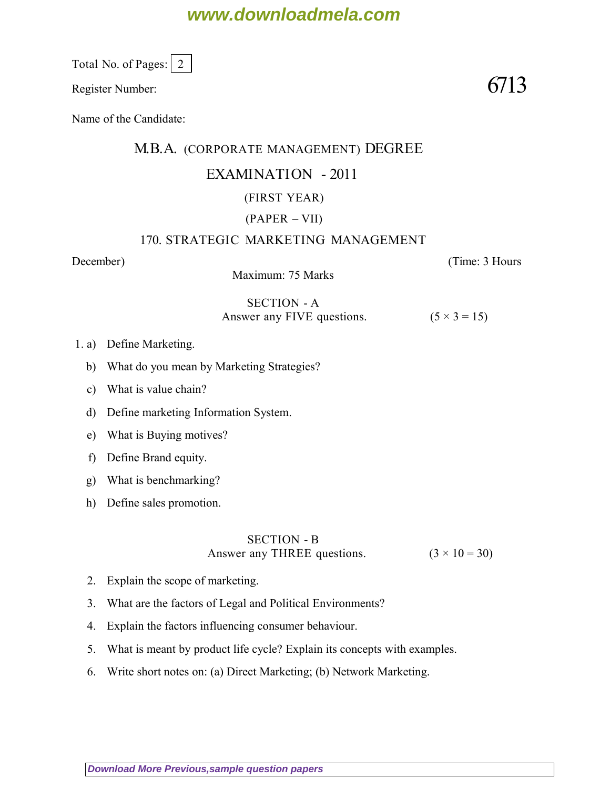# **www.downloadmela.com**

Total No. of Pages: 2

Register Number:  $6713$ 

Name of the Candidate:

### M.B.A. (CORPORATE MANAGEMENT) DEGREE

## EXAMINATION - 2011

## (FIRST YEAR)

## (PAPER – VII)

### 170. STRATEGIC MARKETING MANAGEMENT

Maximum: 75 Marks

*December*) (*Time: 3 Hours*

#### SECTION - A Answer any FIVE questions.  $(5 \times 3 = 15)$

- 1. a) Define Marketing.
	- b) What do you mean by Marketing Strategies?
	- c) What is value chain?
	- d) Define marketing Information System.
	- e) What is Buying motives?
	- f) Define Brand equity.
	- g) What is benchmarking?
	- h) Define sales promotion.

## SECTION - B Answer any THREE questions.  $(3 \times 10 = 30)$

- 2. Explain the scope of marketing.
- 3. What are the factors of Legal and Political Environments?
- 4. Explain the factors influencing consumer behaviour.
- 5. What is meant by product life cycle? Explain its concepts with examples.
- 6. Write short notes on: (a) Direct Marketing; (b) Network Marketing.